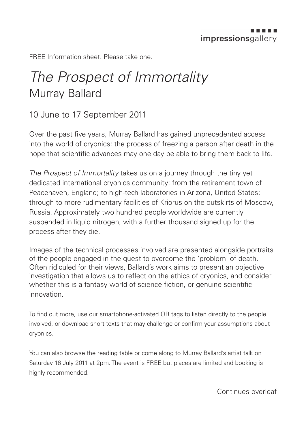FREE Information sheet. Please take one.

## *The Prospect of Immortality* Murray Ballard

## 10 June to 17 September 2011

Over the past five years, Murray Ballard has gained unprecedented access into the world of cryonics: the process of freezing a person after death in the hope that scientific advances may one day be able to bring them back to life.

*The Prospect of Immortality* takes us on a journey through the tiny yet dedicated international cryonics community: from the retirement town of Peacehaven, England; to high-tech laboratories in Arizona, United States; through to more rudimentary facilities of Kriorus on the outskirts of Moscow, Russia. Approximately two hundred people worldwide are currently suspended in liquid nitrogen, with a further thousand signed up for the process after they die.

Images of the technical processes involved are presented alongside portraits of the people engaged in the quest to overcome the 'problem' of death. Often ridiculed for their views, Ballard's work aims to present an objective investigation that allows us to reflect on the ethics of cryonics, and consider whether this is a fantasy world of science fiction, or genuine scientific innovation.

To find out more, use our smartphone-activated QR tags to listen directly to the people involved, or download short texts that may challenge or confirm your assumptions about cryonics.

You can also browse the reading table or come along to Murray Ballard's artist talk on Saturday 16 July 2011 at 2pm. The event is FREE but places are limited and booking is highly recommended.

Continues overleaf